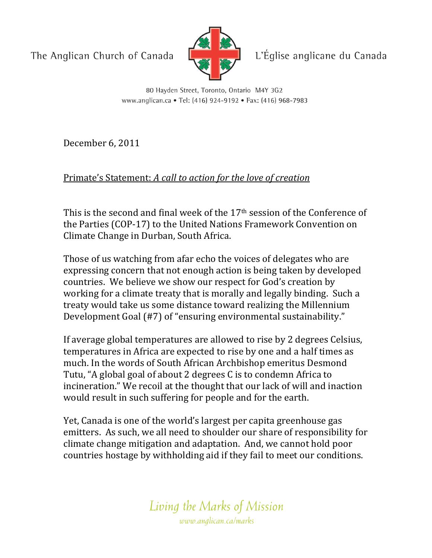The Anglican Church of Canada



L'Église anglicane du Canada

80 Hayden Street, Toronto, Ontario M4Y 3G2 www.anglican.ca • Tel: (416) 924-9192 • Fax: (416) 968-7983

December 6, 2011

## Primate's Statement: A call to action for the love of creation

This is the second and final week of the  $17<sup>th</sup>$  session of the Conference of the Parties (COP-17) to the United Nations Framework Convention on Climate Change in Durban, South Africa.

Those of us watching from afar echo the voices of delegates who are expressing concern that not enough action is being taken by developed countries. We believe we show our respect for God's creation by working for a climate treaty that is morally and legally binding. Such a treaty would take us some distance toward realizing the Millennium Development Goal (#7) of "ensuring environmental sustainability."

If average global temperatures are allowed to rise by 2 degrees Celsius, temperatures in Africa are expected to rise by one and a half times as much. In the words of South African Archbishop emeritus Desmond Tutu, "A global goal of about 2 degrees C is to condemn Africa to incineration." We recoil at the thought that our lack of will and inaction would result in such suffering for people and for the earth.

Yet, Canada is one of the world's largest per capita greenhouse gas emitters. As such, we all need to shoulder our share of responsibility for climate change mitigation and adaptation. And, we cannot hold poor countries hostage by withholding aid if they fail to meet our conditions.

> Living the Marks of Mission www.anglican.ca/marks